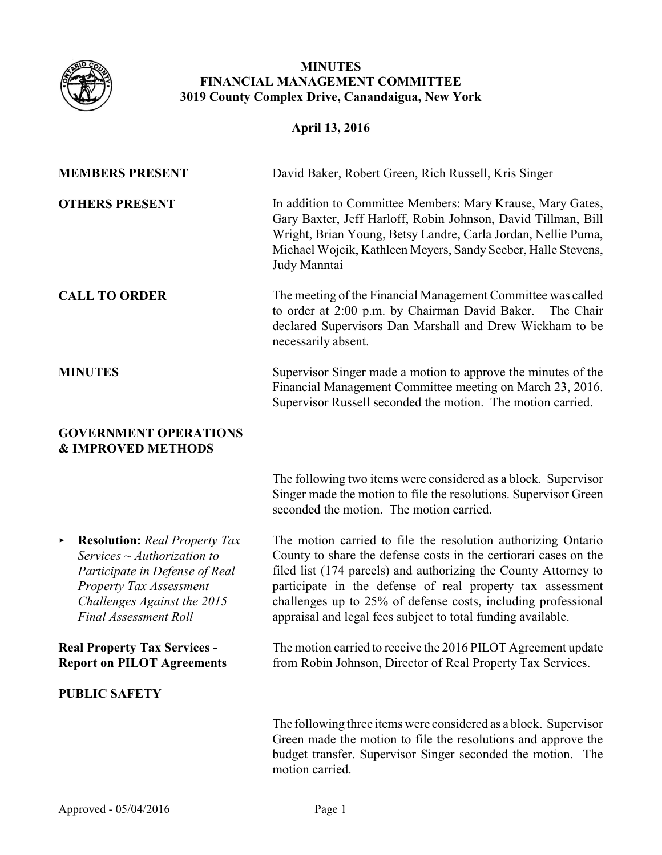

# **MINUTES FINANCIAL MANAGEMENT COMMITTEE 3019 County Complex Drive, Canandaigua, New York**

# **April 13, 2016**

| <b>MEMBERS PRESENT</b> | David Baker, Robert Green, Rich Russell, Kris Singer                                                                                                                                                                                                                          |
|------------------------|-------------------------------------------------------------------------------------------------------------------------------------------------------------------------------------------------------------------------------------------------------------------------------|
| <b>OTHERS PRESENT</b>  | In addition to Committee Members: Mary Krause, Mary Gates,<br>Gary Baxter, Jeff Harloff, Robin Johnson, David Tillman, Bill<br>Wright, Brian Young, Betsy Landre, Carla Jordan, Nellie Puma,<br>Michael Wojcik, Kathleen Meyers, Sandy Seeber, Halle Stevens,<br>Judy Manntai |
| <b>CALL TO ORDER</b>   | The meeting of the Financial Management Committee was called<br>to order at 2:00 p.m. by Chairman David Baker. The Chair<br>declared Supervisors Dan Marshall and Drew Wickham to be<br>necessarily absent.                                                                   |
| <b>MINUTES</b>         | Supervisor Singer made a motion to approve the minutes of the<br>Financial Management Committee meeting on March 23, 2016.<br>Supervisor Russell seconded the motion. The motion carried.                                                                                     |

#### **GOVERNMENT OPERATIONS & IMPROVED METHODS**

The following two items were considered as a block. Supervisor Singer made the motion to file the resolutions. Supervisor Green seconded the motion. The motion carried.

< **Resolution:** *Real Property Tax Services ~ Authorization to Participate in Defense of Real Property Tax Assessment Challenges Against the 2015 Final Assessment Roll*

**Real Property Tax Services - Report on PILOT Agreements**

## **PUBLIC SAFETY**

The motion carried to file the resolution authorizing Ontario County to share the defense costs in the certiorari cases on the filed list (174 parcels) and authorizing the County Attorney to participate in the defense of real property tax assessment challenges up to 25% of defense costs, including professional appraisal and legal fees subject to total funding available.

The motion carried to receive the 2016 PILOT Agreement update from Robin Johnson, Director of Real Property Tax Services.

The following three items were considered as a block. Supervisor Green made the motion to file the resolutions and approve the budget transfer. Supervisor Singer seconded the motion. The motion carried.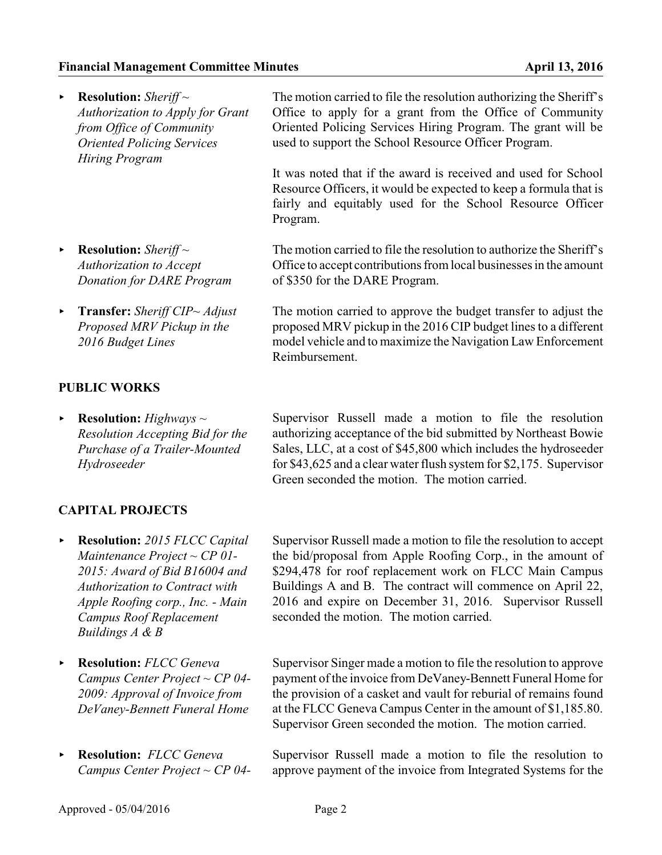| <b>Example:</b> $\blacksquare$ Resolution: Sheriff $\sim$<br><b>Authorization to Apply for Grant</b><br>from Office of Community<br><b>Oriented Policing Services</b><br><b>Hiring Program</b> | The motion carried to file the resolution authorizing the Sheriff's<br>Office to apply for a grant from the Office of Community<br>Oriented Policing Services Hiring Program. The grant will be<br>used to support the School Resource Officer Program. |
|------------------------------------------------------------------------------------------------------------------------------------------------------------------------------------------------|---------------------------------------------------------------------------------------------------------------------------------------------------------------------------------------------------------------------------------------------------------|
|                                                                                                                                                                                                | It was noted that if the award is received and used for School<br>Resource Officers, it would be expected to keep a formula that is<br>fairly and equitably used for the School Resource Officer<br>Program.                                            |
| <b>Example:</b> $\blacksquare$ Resolution: Sheriff $\sim$<br>Authorization to Accept<br><b>Donation for DARE Program</b>                                                                       | The motion carried to file the resolution to authorize the Sheriff's<br>Office to accept contributions from local businesses in the amount<br>of \$350 for the DARE Program.                                                                            |
| <b>Transfer:</b> Sheriff CIP~ Adjust<br>Proposed MRV Pickup in the                                                                                                                             | The motion carried to approve the budget transfer to adjust the<br>proposed MRV pickup in the 2016 CIP budget lines to a different                                                                                                                      |

Reimbursement.

**PUBLIC WORKS**

*2016 Budget Lines*

< **Resolution:** *Highways ~ Resolution Accepting Bid for the Purchase of a Trailer-Mounted Hydroseeder*

Supervisor Russell made a motion to file the resolution authorizing acceptance of the bid submitted by Northeast Bowie Sales, LLC, at a cost of \$45,800 which includes the hydroseeder for \$43,625 and a clear water flush system for \$2,175. Supervisor Green seconded the motion. The motion carried.

model vehicle and to maximize the Navigation Law Enforcement

## **CAPITAL PROJECTS**

- < **Resolution:** *2015 FLCC Capital Maintenance Project ~ CP 01- 2015: Award of Bid B16004 and Authorization to Contract with Apple Roofing corp., Inc. - Main Campus Roof Replacement Buildings A & B*
- < **Resolution:** *FLCC Geneva Campus Center Project ~ CP 04- 2009: Approval of Invoice from DeVaney-Bennett Funeral Home*
- < **Resolution:** *FLCC Geneva Campus Center Project ~ CP 04-*

Supervisor Russell made a motion to file the resolution to accept the bid/proposal from Apple Roofing Corp., in the amount of \$294,478 for roof replacement work on FLCC Main Campus Buildings A and B. The contract will commence on April 22, 2016 and expire on December 31, 2016. Supervisor Russell seconded the motion. The motion carried.

Supervisor Singer made a motion to file the resolution to approve payment of the invoice from DeVaney-Bennett Funeral Home for the provision of a casket and vault for reburial of remains found at the FLCC Geneva Campus Center in the amount of \$1,185.80. Supervisor Green seconded the motion. The motion carried.

Supervisor Russell made a motion to file the resolution to approve payment of the invoice from Integrated Systems for the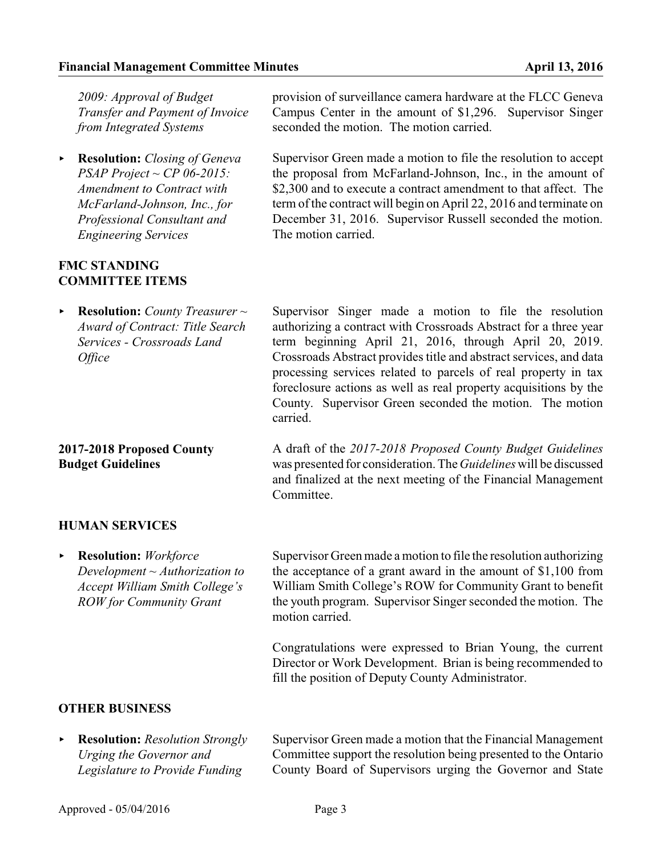*2009: Approval of Budget Transfer and Payment of Invoice from Integrated Systems*

< **Resolution:** *Closing of Geneva PSAP Project ~ CP 06-2015: Amendment to Contract with McFarland-Johnson, Inc., for Professional Consultant and Engineering Services*

#### **FMC STANDING COMMITTEE ITEMS**

< **Resolution:** *County Treasurer ~ Award of Contract: Title Search Services - Crossroads Land Office*

## **2017-2018 Proposed County Budget Guidelines**

provision of surveillance camera hardware at the FLCC Geneva Campus Center in the amount of \$1,296. Supervisor Singer seconded the motion. The motion carried.

Supervisor Green made a motion to file the resolution to accept the proposal from McFarland-Johnson, Inc., in the amount of \$2,300 and to execute a contract amendment to that affect. The term of the contract will begin on April 22, 2016 and terminate on December 31, 2016. Supervisor Russell seconded the motion. The motion carried.

Supervisor Singer made a motion to file the resolution authorizing a contract with Crossroads Abstract for a three year term beginning April 21, 2016, through April 20, 2019. Crossroads Abstract provides title and abstract services, and data processing services related to parcels of real property in tax foreclosure actions as well as real property acquisitions by the County. Supervisor Green seconded the motion. The motion carried.

A draft of the *2017-2018 Proposed County Budget Guidelines* was presented for consideration. The *Guidelines*will be discussed and finalized at the next meeting of the Financial Management Committee.

## **HUMAN SERVICES**

< **Resolution:** *Workforce Development ~ Authorization to Accept William Smith College's ROW for Community Grant*

Supervisor Green made a motion to file the resolution authorizing the acceptance of a grant award in the amount of \$1,100 from William Smith College's ROW for Community Grant to benefit the youth program. Supervisor Singer seconded the motion. The motion carried.

Congratulations were expressed to Brian Young, the current Director or Work Development. Brian is being recommended to fill the position of Deputy County Administrator.

# **OTHER BUSINESS**

< **Resolution:** *Resolution Strongly Urging the Governor and Legislature to Provide Funding*

Supervisor Green made a motion that the Financial Management Committee support the resolution being presented to the Ontario County Board of Supervisors urging the Governor and State